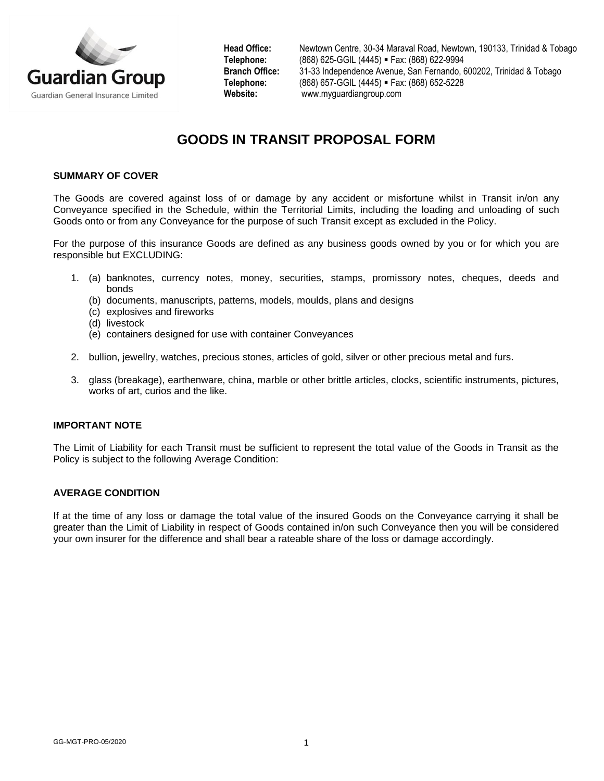

**Head Office:** Newtown Centre, 30-34 Maraval Road, Newtown, 190133, Trinidad & Tobago **Telephone:** (868) 625-GGIL (4445) ▪ Fax: (868) 622-9994 **Branch Office:** 31-33 Independence Avenue, San Fernando, 600202, Trinidad & Tobago **Telephone:** (868) 657-GGIL (4445) ▪ Fax: (868) 652-5228 **Website:** [www.myguardiangroup.com](http://www.myguardiangroup.com/)

# **GOODS IN TRANSIT PROPOSAL FORM**

## **SUMMARY OF COVER**

The Goods are covered against loss of or damage by any accident or misfortune whilst in Transit in/on any Conveyance specified in the Schedule, within the Territorial Limits, including the loading and unloading of such Goods onto or from any Conveyance for the purpose of such Transit except as excluded in the Policy.

For the purpose of this insurance Goods are defined as any business goods owned by you or for which you are responsible but EXCLUDING:

- 1. (a) banknotes, currency notes, money, securities, stamps, promissory notes, cheques, deeds and bonds
	- (b) documents, manuscripts, patterns, models, moulds, plans and designs
	- (c) explosives and fireworks
	- (d) livestock
	- (e) containers designed for use with container Conveyances
- 2. bullion, jewellry, watches, precious stones, articles of gold, silver or other precious metal and furs.
- 3. glass (breakage), earthenware, china, marble or other brittle articles, clocks, scientific instruments, pictures, works of art, curios and the like.

#### **IMPORTANT NOTE**

The Limit of Liability for each Transit must be sufficient to represent the total value of the Goods in Transit as the Policy is subject to the following Average Condition:

#### **AVERAGE CONDITION**

If at the time of any loss or damage the total value of the insured Goods on the Conveyance carrying it shall be greater than the Limit of Liability in respect of Goods contained in/on such Conveyance then you will be considered your own insurer for the difference and shall bear a rateable share of the loss or damage accordingly.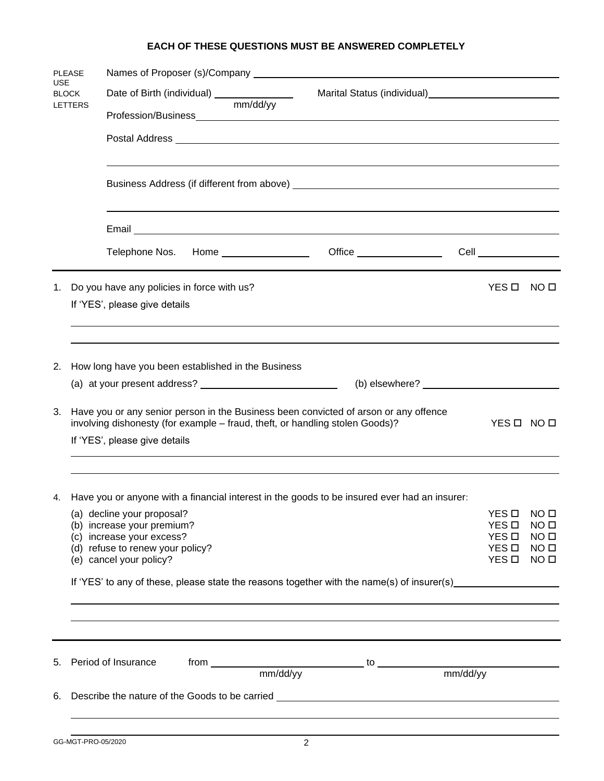# **EACH OF THESE QUESTIONS MUST BE ANSWERED COMPLETELY**

| <b>PLEASE</b><br><b>USE</b><br><b>BLOCK</b> |                                                                                                                                                                                    |                                                                                                 |                                                            |  |  |                       |                                    |  |  |  |
|---------------------------------------------|------------------------------------------------------------------------------------------------------------------------------------------------------------------------------------|-------------------------------------------------------------------------------------------------|------------------------------------------------------------|--|--|-----------------------|------------------------------------|--|--|--|
|                                             |                                                                                                                                                                                    | Date of Birth (individual) ________________                                                     | Marital Status (individual)<br>Marital Status (individual) |  |  |                       |                                    |  |  |  |
|                                             | <b>LETTERS</b>                                                                                                                                                                     |                                                                                                 | mm/dd/yy                                                   |  |  |                       |                                    |  |  |  |
|                                             |                                                                                                                                                                                    |                                                                                                 |                                                            |  |  |                       |                                    |  |  |  |
|                                             |                                                                                                                                                                                    |                                                                                                 |                                                            |  |  |                       |                                    |  |  |  |
|                                             |                                                                                                                                                                                    |                                                                                                 |                                                            |  |  |                       |                                    |  |  |  |
|                                             |                                                                                                                                                                                    |                                                                                                 |                                                            |  |  |                       |                                    |  |  |  |
|                                             |                                                                                                                                                                                    | Telephone Nos. Home _________________                                                           |                                                            |  |  |                       |                                    |  |  |  |
| 1.                                          |                                                                                                                                                                                    | Do you have any policies in force with us?                                                      |                                                            |  |  | YES O                 | NO □                               |  |  |  |
|                                             |                                                                                                                                                                                    | If 'YES', please give details                                                                   |                                                            |  |  |                       |                                    |  |  |  |
|                                             |                                                                                                                                                                                    |                                                                                                 |                                                            |  |  |                       |                                    |  |  |  |
| 2.                                          | How long have you been established in the Business                                                                                                                                 |                                                                                                 |                                                            |  |  |                       |                                    |  |  |  |
|                                             | $(b)$ elsewhere? $\qquad \qquad$                                                                                                                                                   |                                                                                                 |                                                            |  |  |                       |                                    |  |  |  |
| 3.                                          | Have you or any senior person in the Business been convicted of arson or any offence<br>involving dishonesty (for example - fraud, theft, or handling stolen Goods)?<br>YES O NO O |                                                                                                 |                                                            |  |  |                       |                                    |  |  |  |
|                                             | If 'YES', please give details                                                                                                                                                      |                                                                                                 |                                                            |  |  |                       |                                    |  |  |  |
|                                             |                                                                                                                                                                                    | 4. Have you or anyone with a financial interest in the goods to be insured ever had an insurer: |                                                            |  |  |                       |                                    |  |  |  |
|                                             |                                                                                                                                                                                    | (a) decline your proposal?                                                                      |                                                            |  |  | YES O                 | NO <sub>II</sub>                   |  |  |  |
|                                             |                                                                                                                                                                                    | (b) increase your premium?                                                                      |                                                            |  |  | YES <sub>D</sub>      | NO <sub>II</sub>                   |  |  |  |
|                                             |                                                                                                                                                                                    | (c) increase your excess?<br>(d) refuse to renew your policy?                                   |                                                            |  |  | YES <b>D</b><br>YES O | NO <sub>0</sub><br>NO <sub>0</sub> |  |  |  |
|                                             |                                                                                                                                                                                    | (e) cancel your policy?                                                                         |                                                            |  |  | YES <b>D</b>          | NO <sub>0</sub>                    |  |  |  |
|                                             | If 'YES' to any of these, please state the reasons together with the name(s) of insurer(s)                                                                                         |                                                                                                 |                                                            |  |  |                       |                                    |  |  |  |
|                                             |                                                                                                                                                                                    |                                                                                                 |                                                            |  |  |                       |                                    |  |  |  |
| 5.                                          |                                                                                                                                                                                    | Period of Insurance                                                                             |                                                            |  |  |                       |                                    |  |  |  |
|                                             |                                                                                                                                                                                    |                                                                                                 |                                                            |  |  |                       |                                    |  |  |  |
| 6.                                          |                                                                                                                                                                                    |                                                                                                 |                                                            |  |  |                       |                                    |  |  |  |
|                                             |                                                                                                                                                                                    |                                                                                                 |                                                            |  |  |                       |                                    |  |  |  |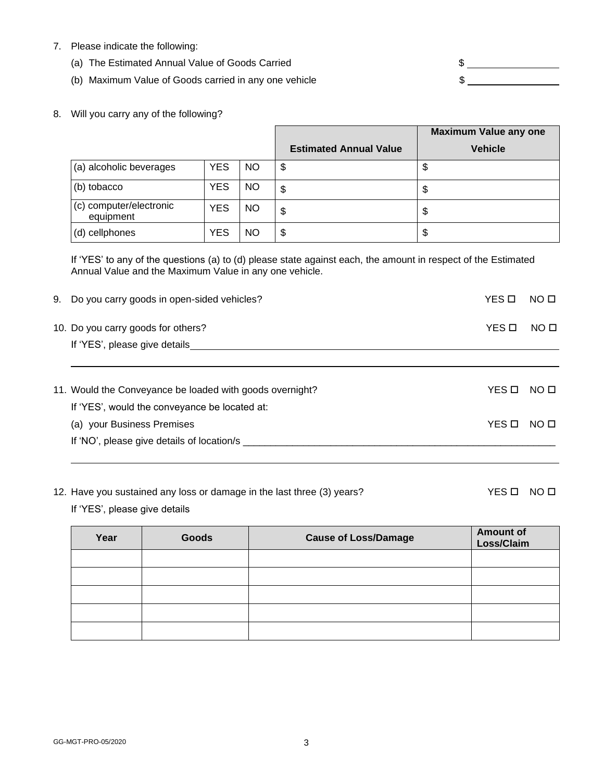- 7. Please indicate the following:
	- (a) The Estimated Annual Value of Goods Carried  $\text{S}$
	- (b) Maximum Value of Goods carried in any one vehicle  $$$

8. Will you carry any of the following?

|                                      |            |     | <b>Maximum Value any one</b>  |                |
|--------------------------------------|------------|-----|-------------------------------|----------------|
|                                      |            |     | <b>Estimated Annual Value</b> | <b>Vehicle</b> |
| (a) alcoholic beverages              | <b>YES</b> | NO. | \$                            | \$             |
| (b) tobacco                          | <b>YES</b> | NO. | \$                            | \$             |
| (c) computer/electronic<br>equipment | YES        | NO. | \$                            | \$             |
| (d) cellphones                       | <b>YES</b> | ΝO  | \$                            | \$             |

If 'YES' to any of the questions (a) to (d) please state against each, the amount in respect of the Estimated Annual Value and the Maximum Value in any one vehicle.

| 9. Do you carry goods in open-sided vehicles?            | YES □ | NO <sub>II</sub> |
|----------------------------------------------------------|-------|------------------|
| 10. Do you carry goods for others?                       | YES O | NO <sub>0</sub>  |
| If 'YES', please give details                            |       |                  |
| 11. Would the Conveyance be loaded with goods overnight? | YES O | NO O             |
| If 'YES', would the conveyance be located at:            |       |                  |
| (a) your Business Premises                               | YES O | NO O             |
| If 'NO', please give details of location/s               |       |                  |

12. Have you sustained any loss or damage in the last three (3) years? YES D NO D

If 'YES', please give details

| Year | Goods | <b>Cause of Loss/Damage</b> | <b>Amount of</b><br>Loss/Claim |
|------|-------|-----------------------------|--------------------------------|
|      |       |                             |                                |
|      |       |                             |                                |
|      |       |                             |                                |
|      |       |                             |                                |
|      |       |                             |                                |